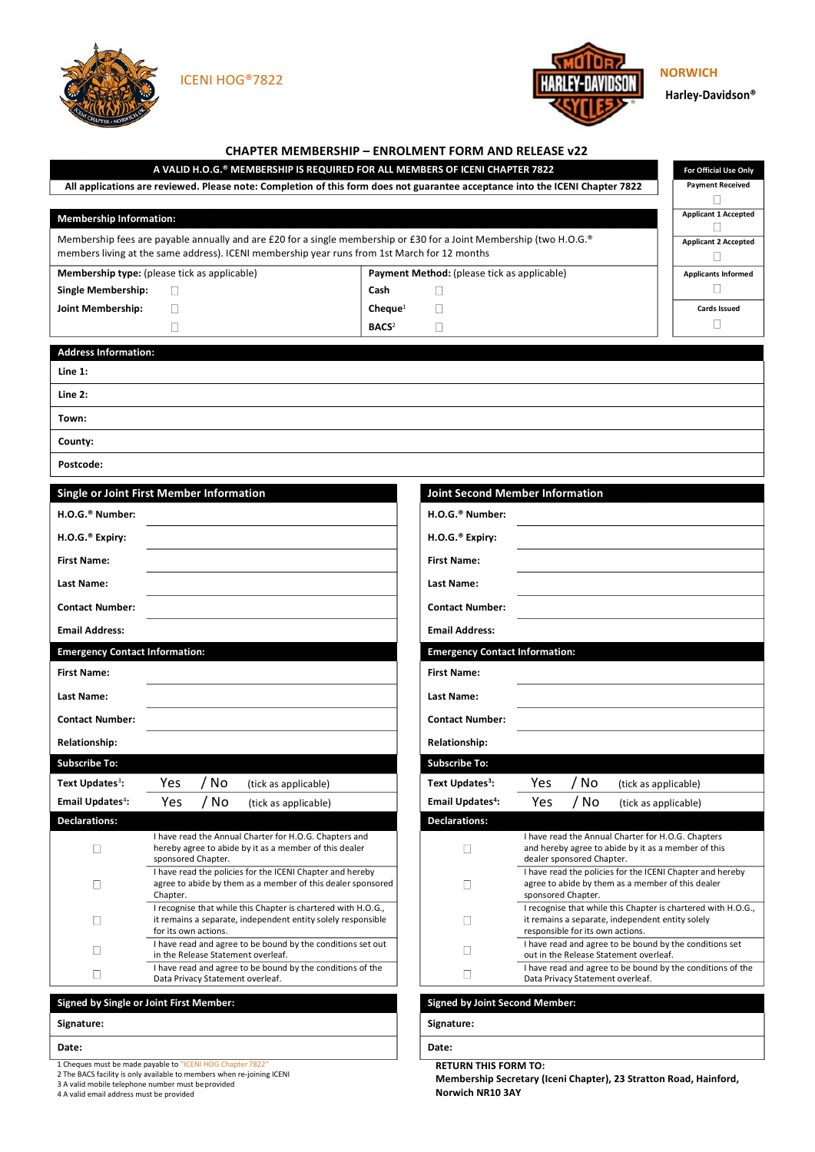

**Harley-Davidson®**

|                                                                                                                                                                                                                     |                                                                                                                                                       | A VALID H.O.G.® MEMBERSHIP IS REQUIRED FOR ALL MEMBERS OF ICENI CHAPTER 7822                                                  |                                              |                                                                                                |                                                                                                                                                       |      |                      | For Official Use Only       |  |
|---------------------------------------------------------------------------------------------------------------------------------------------------------------------------------------------------------------------|-------------------------------------------------------------------------------------------------------------------------------------------------------|-------------------------------------------------------------------------------------------------------------------------------|----------------------------------------------|------------------------------------------------------------------------------------------------|-------------------------------------------------------------------------------------------------------------------------------------------------------|------|----------------------|-----------------------------|--|
|                                                                                                                                                                                                                     |                                                                                                                                                       | All applications are reviewed. Please note: Completion of this form does not guarantee acceptance into the ICENI Chapter 7822 |                                              |                                                                                                |                                                                                                                                                       |      |                      | <b>Payment Received</b>     |  |
| <b>Membership Information:</b>                                                                                                                                                                                      |                                                                                                                                                       |                                                                                                                               |                                              |                                                                                                |                                                                                                                                                       |      |                      | <b>Applicant 1 Accepted</b> |  |
| Membership fees are payable annually and are £20 for a single membership or £30 for a Joint Membership (two H.O.G.®<br>members living at the same address). ICENI membership year runs from 1st March for 12 months |                                                                                                                                                       |                                                                                                                               |                                              |                                                                                                |                                                                                                                                                       |      |                      | <b>Applicant 2 Accepted</b> |  |
| <b>Membership type:</b> (please tick as applicable)                                                                                                                                                                 |                                                                                                                                                       |                                                                                                                               |                                              | Payment Method: (please tick as applicable)                                                    |                                                                                                                                                       |      |                      | <b>Applicants Informed</b>  |  |
| <b>Single Membership:</b>                                                                                                                                                                                           | П                                                                                                                                                     |                                                                                                                               | Cash                                         | П                                                                                              |                                                                                                                                                       |      |                      | $\mathbf{L}$                |  |
| Joint Membership:                                                                                                                                                                                                   | П                                                                                                                                                     |                                                                                                                               | $Change1$                                    |                                                                                                |                                                                                                                                                       |      |                      | Cards Issued<br>П           |  |
|                                                                                                                                                                                                                     | П                                                                                                                                                     |                                                                                                                               | $\mathbf{B}\mathbf{A}\mathbf{C}\mathbf{S}^2$ | П                                                                                              |                                                                                                                                                       |      |                      |                             |  |
| <b>Address Information:</b>                                                                                                                                                                                         |                                                                                                                                                       |                                                                                                                               |                                              |                                                                                                |                                                                                                                                                       |      |                      |                             |  |
| Line 1:                                                                                                                                                                                                             |                                                                                                                                                       |                                                                                                                               |                                              |                                                                                                |                                                                                                                                                       |      |                      |                             |  |
| Line $2:$                                                                                                                                                                                                           |                                                                                                                                                       |                                                                                                                               |                                              |                                                                                                |                                                                                                                                                       |      |                      |                             |  |
| Town:                                                                                                                                                                                                               |                                                                                                                                                       |                                                                                                                               |                                              |                                                                                                |                                                                                                                                                       |      |                      |                             |  |
| County:                                                                                                                                                                                                             |                                                                                                                                                       |                                                                                                                               |                                              |                                                                                                |                                                                                                                                                       |      |                      |                             |  |
| Postcode:                                                                                                                                                                                                           |                                                                                                                                                       |                                                                                                                               |                                              |                                                                                                |                                                                                                                                                       |      |                      |                             |  |
|                                                                                                                                                                                                                     | <b>Single or Joint First Member Information</b>                                                                                                       |                                                                                                                               |                                              | <b>Joint Second Member Information</b>                                                         |                                                                                                                                                       |      |                      |                             |  |
| H.O.G. <sup>®</sup> Number:                                                                                                                                                                                         |                                                                                                                                                       |                                                                                                                               |                                              | H.O.G. <sup>®</sup> Number:                                                                    |                                                                                                                                                       |      |                      |                             |  |
|                                                                                                                                                                                                                     |                                                                                                                                                       |                                                                                                                               |                                              |                                                                                                |                                                                                                                                                       |      |                      |                             |  |
| H.O.G. <sup>®</sup> Expiry:                                                                                                                                                                                         |                                                                                                                                                       |                                                                                                                               |                                              | H.O.G. <sup>®</sup> Expiry:                                                                    |                                                                                                                                                       |      |                      |                             |  |
| <b>First Name:</b>                                                                                                                                                                                                  |                                                                                                                                                       |                                                                                                                               |                                              | <b>First Name:</b>                                                                             |                                                                                                                                                       |      |                      |                             |  |
| Last Name:                                                                                                                                                                                                          |                                                                                                                                                       |                                                                                                                               |                                              | Last Name:                                                                                     |                                                                                                                                                       |      |                      |                             |  |
| <b>Contact Number:</b>                                                                                                                                                                                              |                                                                                                                                                       |                                                                                                                               |                                              | <b>Contact Number:</b>                                                                         |                                                                                                                                                       |      |                      |                             |  |
| <b>Email Address:</b>                                                                                                                                                                                               |                                                                                                                                                       |                                                                                                                               |                                              | <b>Email Address:</b>                                                                          |                                                                                                                                                       |      |                      |                             |  |
| <b>Emergency Contact Information:</b>                                                                                                                                                                               |                                                                                                                                                       |                                                                                                                               |                                              | <b>Emergency Contact Information:</b>                                                          |                                                                                                                                                       |      |                      |                             |  |
| <b>First Name:</b>                                                                                                                                                                                                  |                                                                                                                                                       |                                                                                                                               |                                              | <b>First Name:</b>                                                                             |                                                                                                                                                       |      |                      |                             |  |
| Last Name:                                                                                                                                                                                                          |                                                                                                                                                       |                                                                                                                               |                                              | <b>Last Name:</b>                                                                              |                                                                                                                                                       |      |                      |                             |  |
| <b>Contact Number:</b>                                                                                                                                                                                              |                                                                                                                                                       |                                                                                                                               |                                              | <b>Contact Number:</b>                                                                         |                                                                                                                                                       |      |                      |                             |  |
| <b>Relationship:</b>                                                                                                                                                                                                |                                                                                                                                                       |                                                                                                                               |                                              | <b>Relationship:</b>                                                                           |                                                                                                                                                       |      |                      |                             |  |
| <b>Subscribe To:</b>                                                                                                                                                                                                |                                                                                                                                                       |                                                                                                                               |                                              | <b>Subscribe To:</b>                                                                           |                                                                                                                                                       |      |                      |                             |  |
| Text Updates <sup>3</sup> :                                                                                                                                                                                         | Yes<br>' No                                                                                                                                           | (tick as applicable)                                                                                                          |                                              | Text Updates <sup>3</sup> :                                                                    | Yes                                                                                                                                                   | / No | (tick as applicable) |                             |  |
| <b>Email Updates<sup>4</sup>:</b>                                                                                                                                                                                   | / No<br>Yes                                                                                                                                           | (tick as applicable)                                                                                                          |                                              | <b>Email Updates<sup>4</sup>:</b>                                                              | Yes                                                                                                                                                   | / No | (tick as applicable) |                             |  |
| <b>Declarations:</b>                                                                                                                                                                                                |                                                                                                                                                       |                                                                                                                               |                                              | <b>Declarations:</b>                                                                           |                                                                                                                                                       |      |                      |                             |  |
| □                                                                                                                                                                                                                   | I have read the Annual Charter for H.O.G. Chapters and<br>hereby agree to abide by it as a member of this dealer<br>sponsored Chapter.                |                                                                                                                               |                                              | $\Box$                                                                                         | I have read the Annual Charter for H.O.G. Chapters<br>and hereby agree to abide by it as a member of this<br>dealer sponsored Chapter.                |      |                      |                             |  |
| O                                                                                                                                                                                                                   | I have read the policies for the ICENI Chapter and hereby<br>agree to abide by them as a member of this dealer sponsored<br>Chapter.                  |                                                                                                                               |                                              | □                                                                                              | I have read the policies for the ICENI Chapter and hereby<br>agree to abide by them as a member of this dealer<br>sponsored Chapter.                  |      |                      |                             |  |
| Ш                                                                                                                                                                                                                   | I recognise that while this Chapter is chartered with H.O.G.,<br>it remains a separate, independent entity solely responsible<br>for its own actions. |                                                                                                                               |                                              | Ш                                                                                              | I recognise that while this Chapter is chartered with H.O.G.,<br>it remains a separate, independent entity solely<br>responsible for its own actions. |      |                      |                             |  |
| u                                                                                                                                                                                                                   | I have read and agree to be bound by the conditions set out<br>in the Release Statement overleaf.                                                     |                                                                                                                               |                                              | П                                                                                              | I have read and agree to be bound by the conditions set<br>out in the Release Statement overleaf.                                                     |      |                      |                             |  |
| Ш                                                                                                                                                                                                                   | Data Privacy Statement overleaf.                                                                                                                      | I have read and agree to be bound by the conditions of the                                                                    | $\mathbb{L}$                                 | I have read and agree to be bound by the conditions of the<br>Data Privacy Statement overleaf. |                                                                                                                                                       |      |                      |                             |  |
|                                                                                                                                                                                                                     | Signed by Single or Joint First Member:                                                                                                               |                                                                                                                               |                                              | <b>Signed by Joint Second Member:</b>                                                          |                                                                                                                                                       |      |                      |                             |  |
| Signature:                                                                                                                                                                                                          |                                                                                                                                                       |                                                                                                                               |                                              | Signature:                                                                                     |                                                                                                                                                       |      |                      |                             |  |
| Date:                                                                                                                                                                                                               |                                                                                                                                                       |                                                                                                                               |                                              | Date:                                                                                          |                                                                                                                                                       |      |                      |                             |  |

**RETURN THIS FORM TO:** 

**Membership Secretary (Iceni Chapter), 23 Stratton Road, Hainford, Norwich NR10 3AY**

1 Cheques must be made payable to "ICENI HOG Chapter 7822"<br>2 The BACS facility is only available to members when re-joining ICENI<br>3 A valid mobile telephone number must be provided<br>4 A valid email address must be provided